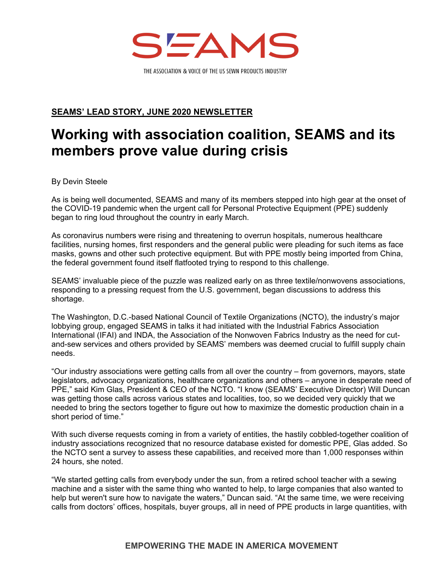

**SEAMS' LEAD STORY, JUNE 2020 NEWSLETTER** 

## **Working with association coalition, SEAMS and its members prove value during crisis**

By Devin Steele

As is being well documented, SEAMS and many of its members stepped into high gear at the onset of the COVID-19 pandemic when the urgent call for Personal Protective Equipment (PPE) suddenly began to ring loud throughout the country in early March.

As coronavirus numbers were rising and threatening to overrun hospitals, numerous healthcare facilities, nursing homes, first responders and the general public were pleading for such items as face masks, gowns and other such protective equipment. But with PPE mostly being imported from China, the federal government found itself flatfooted trying to respond to this challenge.

SEAMS' invaluable piece of the puzzle was realized early on as three textile/nonwovens associations, responding to a pressing request from the U.S. government, began discussions to address this shortage.

The Washington, D.C.-based National Council of Textile Organizations (NCTO), the industry's major lobbying group, engaged SEAMS in talks it had initiated with the Industrial Fabrics Association International (IFAI) and INDA, the Association of the Nonwoven Fabrics Industry as the need for cutand-sew services and others provided by SEAMS' members was deemed crucial to fulfill supply chain needs.

"Our industry associations were getting calls from all over the country – from governors, mayors, state legislators, advocacy organizations, healthcare organizations and others – anyone in desperate need of PPE," said Kim Glas, President & CEO of the NCTO. "I know (SEAMS' Executive Director) Will Duncan was getting those calls across various states and localities, too, so we decided very quickly that we needed to bring the sectors together to figure out how to maximize the domestic production chain in a short period of time."

With such diverse requests coming in from a variety of entities, the hastily cobbled-together coalition of industry associations recognized that no resource database existed for domestic PPE, Glas added. So the NCTO sent a survey to assess these capabilities, and received more than 1,000 responses within 24 hours, she noted.

"We started getting calls from everybody under the sun, from a retired school teacher with a sewing machine and a sister with the same thing who wanted to help, to large companies that also wanted to help but weren't sure how to navigate the waters," Duncan said. "At the same time, we were receiving calls from doctors' offices, hospitals, buyer groups, all in need of PPE products in large quantities, with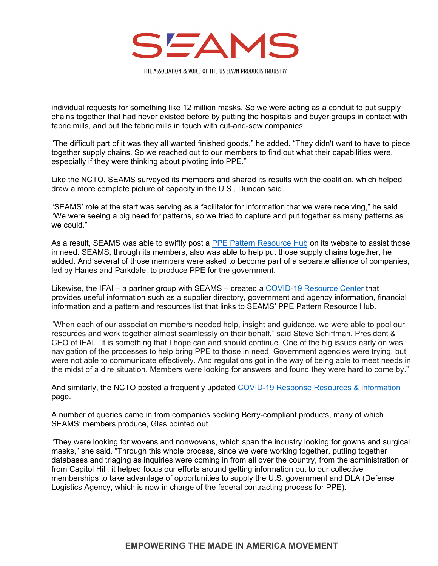

individual requests for something like 12 million masks. So we were acting as a conduit to put supply chains together that had never existed before by putting the hospitals and buyer groups in contact with fabric mills, and put the fabric mills in touch with cut-and-sew companies.

"The difficult part of it was they all wanted finished goods," he added. "They didn't want to have to piece together supply chains. So we reached out to our members to find out what their capabilities were, especially if they were thinking about pivoting into PPE."

Like the NCTO, SEAMS surveyed its members and shared its results with the coalition, which helped draw a more complete picture of capacity in the U.S., Duncan said.

"SEAMS' role at the start was serving as a facilitator for information that we were receiving," he said. "We were seeing a big need for patterns, so we tried to capture and put together as many patterns as we could."

As a result, SEAMS was able to swiftly post a [PPE Pattern Resource Hub](https://seams.org/ppe-patterns/) on its website to assist those in need. SEAMS, through its members, also was able to help put those supply chains together, he added. And several of those members were asked to become part of a separate alliance of companies, led by Hanes and Parkdale, to produce PPE for the government.

Likewise, the IFAI – a partner group with SEAMS – created a [COVID-19 Resource Center](https://www.ifai.com/covid-19/) that provides useful information such as a supplier directory, government and agency information, financial information and a pattern and resources list that links to SEAMS' PPE Pattern Resource Hub.

"When each of our association members needed help, insight and guidance, we were able to pool our resources and work together almost seamlessly on their behalf," said Steve Schiffman, President & CEO of IFAI. "It is something that I hope can and should continue. One of the big issues early on was navigation of the processes to help bring PPE to those in need. Government agencies were trying, but were not able to communicate effectively. And regulations got in the way of being able to meet needs in the midst of a dire situation. Members were looking for answers and found they were hard to come by."

And similarly, the NCTO posted a frequently updated [COVID-19 Response Resources & Information](http://www.ncto.org/federal-government-covid-19-procurement/) page.

A number of queries came in from companies seeking Berry-compliant products, many of which SEAMS' members produce, Glas pointed out.

"They were looking for wovens and nonwovens, which span the industry looking for gowns and surgical masks," she said. "Through this whole process, since we were working together, putting together databases and triaging as inquiries were coming in from all over the country, from the administration or from Capitol Hill, it helped focus our efforts around getting information out to our collective memberships to take advantage of opportunities to supply the U.S. government and DLA (Defense Logistics Agency, which is now in charge of the federal contracting process for PPE).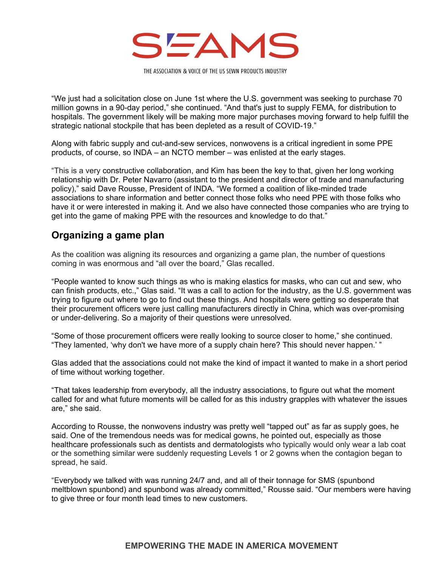

"We just had a solicitation close on June 1st where the U.S. government was seeking to purchase 70 million gowns in a 90-day period," she continued. "And that's just to supply FEMA, for distribution to hospitals. The government likely will be making more major purchases moving forward to help fulfill the strategic national stockpile that has been depleted as a result of COVID-19."

Along with fabric supply and cut-and-sew services, nonwovens is a critical ingredient in some PPE products, of course, so INDA – an NCTO member – was enlisted at the early stages.

"This is a very constructive collaboration, and Kim has been the key to that, given her long working relationship with Dr. Peter Navarro (assistant to the president and director of trade and manufacturing policy)," said Dave Rousse, President of INDA. "We formed a coalition of like-minded trade associations to share information and better connect those folks who need PPE with those folks who have it or were interested in making it. And we also have connected those companies who are trying to get into the game of making PPE with the resources and knowledge to do that."

## **Organizing a game plan**

As the coalition was aligning its resources and organizing a game plan, the number of questions coming in was enormous and "all over the board," Glas recalled.

"People wanted to know such things as who is making elastics for masks, who can cut and sew, who can finish products, etc.," Glas said. "It was a call to action for the industry, as the U.S. government was trying to figure out where to go to find out these things. And hospitals were getting so desperate that their procurement officers were just calling manufacturers directly in China, which was over-promising or under-delivering. So a majority of their questions were unresolved.

"Some of those procurement officers were really looking to source closer to home," she continued. "They lamented, 'why don't we have more of a supply chain here? This should never happen.' "

Glas added that the associations could not make the kind of impact it wanted to make in a short period of time without working together.

"That takes leadership from everybody, all the industry associations, to figure out what the moment called for and what future moments will be called for as this industry grapples with whatever the issues are," she said.

According to Rousse, the nonwovens industry was pretty well "tapped out" as far as supply goes, he said. One of the tremendous needs was for medical gowns, he pointed out, especially as those healthcare professionals such as dentists and dermatologists who typically would only wear a lab coat or the something similar were suddenly requesting Levels 1 or 2 gowns when the contagion began to spread, he said.

"Everybody we talked with was running 24/7 and, and all of their tonnage for SMS (spunbond meltblown spunbond) and spunbond was already committed," Rousse said. "Our members were having to give three or four month lead times to new customers.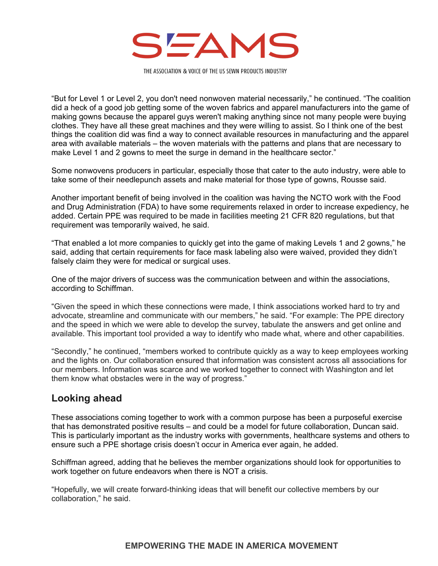

"But for Level 1 or Level 2, you don't need nonwoven material necessarily," he continued. "The coalition did a heck of a good job getting some of the woven fabrics and apparel manufacturers into the game of making gowns because the apparel guys weren't making anything since not many people were buying clothes. They have all these great machines and they were willing to assist. So I think one of the best things the coalition did was find a way to connect available resources in manufacturing and the apparel area with available materials – the woven materials with the patterns and plans that are necessary to make Level 1 and 2 gowns to meet the surge in demand in the healthcare sector."

Some nonwovens producers in particular, especially those that cater to the auto industry, were able to take some of their needlepunch assets and make material for those type of gowns, Rousse said.

Another important benefit of being involved in the coalition was having the NCTO work with the Food and Drug Administration (FDA) to have some requirements relaxed in order to increase expediency, he added. Certain PPE was required to be made in facilities meeting 21 CFR 820 regulations, but that requirement was temporarily waived, he said.

"That enabled a lot more companies to quickly get into the game of making Levels 1 and 2 gowns," he said, adding that certain requirements for face mask labeling also were waived, provided they didn't falsely claim they were for medical or surgical uses.

One of the major drivers of success was the communication between and within the associations, according to Schiffman.

"Given the speed in which these connections were made, I think associations worked hard to try and advocate, streamline and communicate with our members," he said. "For example: The PPE directory and the speed in which we were able to develop the survey, tabulate the answers and get online and available. This important tool provided a way to identify who made what, where and other capabilities.

"Secondly," he continued, "members worked to contribute quickly as a way to keep employees working and the lights on. Our collaboration ensured that information was consistent across all associations for our members. Information was scarce and we worked together to connect with Washington and let them know what obstacles were in the way of progress."

## **Looking ahead**

These associations coming together to work with a common purpose has been a purposeful exercise that has demonstrated positive results – and could be a model for future collaboration, Duncan said. This is particularly important as the industry works with governments, healthcare systems and others to ensure such a PPE shortage crisis doesn't occur in America ever again, he added.

Schiffman agreed, adding that he believes the member organizations should look for opportunities to work together on future endeavors when there is NOT a crisis.

"Hopefully, we will create forward-thinking ideas that will benefit our collective members by our collaboration," he said.